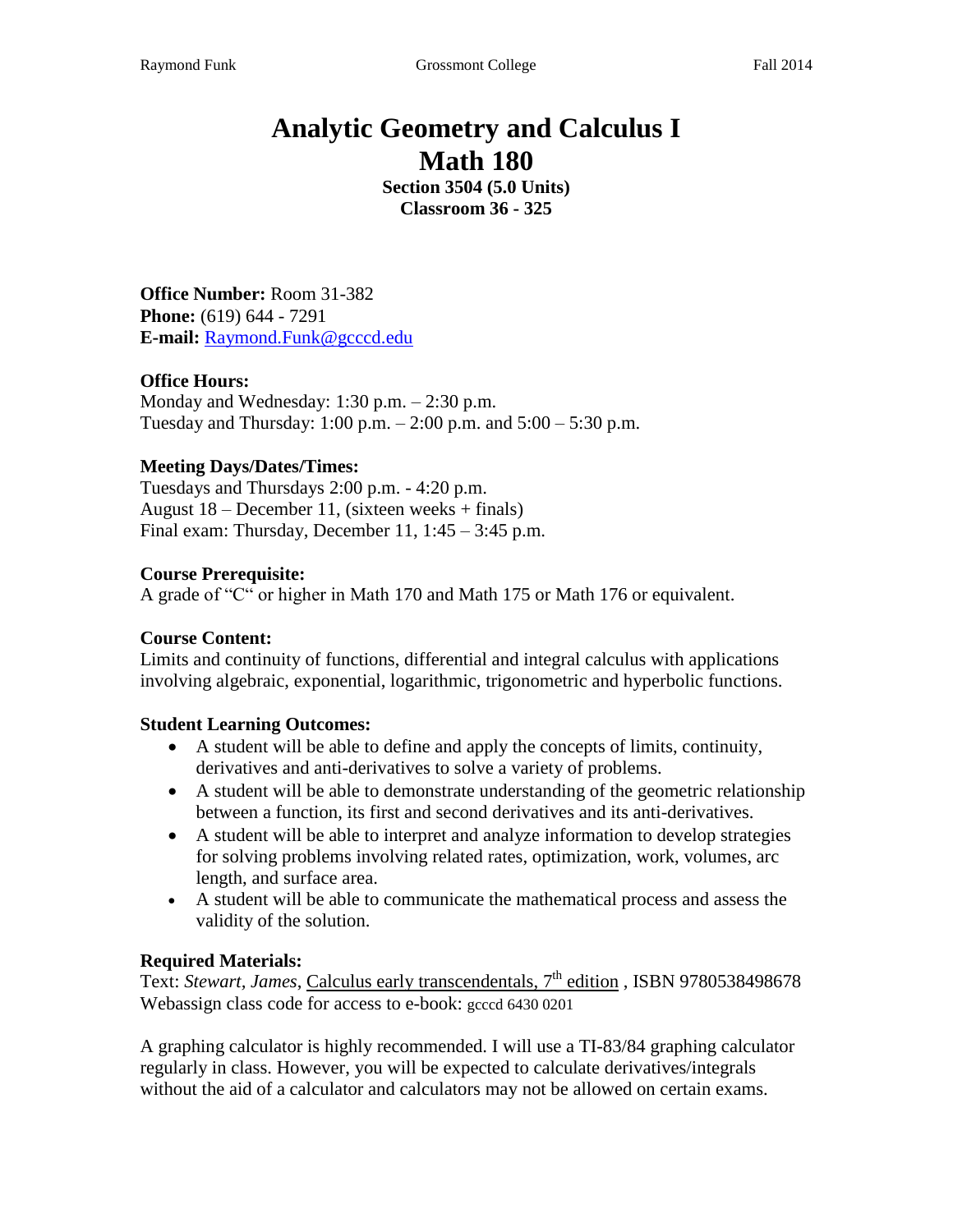# **Analytic Geometry and Calculus I Math 180**

**Section 3504 (5.0 Units) Classroom 36 - 325**

**Office Number:** Room 31-382 **Phone:** (619) 644 - 7291 **E-mail:** Raymond.Funk@gcccd.edu

#### **Office Hours:**

Monday and Wednesday: 1:30 p.m. – 2:30 p.m. Tuesday and Thursday:  $1:00 \text{ p.m.} - 2:00 \text{ p.m.}$  and  $5:00 - 5:30 \text{ p.m.}$ 

#### **Meeting Days/Dates/Times:**

Tuesdays and Thursdays 2:00 p.m. - 4:20 p.m. August  $18$  – December 11, (sixteen weeks + finals) Final exam: Thursday, December 11,  $1:45 - 3:45$  p.m.

#### **Course Prerequisite:**

A grade of "C" or higher in Math 170 and Math 175 or Math 176 or equivalent.

#### **Course Content:**

Limits and continuity of functions, differential and integral calculus with applications involving algebraic, exponential, logarithmic, trigonometric and hyperbolic functions.

#### **Student Learning Outcomes:**

- A student will be able to define and apply the concepts of limits, continuity, derivatives and anti-derivatives to solve a variety of problems.
- A student will be able to demonstrate understanding of the geometric relationship between a function, its first and second derivatives and its anti-derivatives.
- A student will be able to interpret and analyze information to develop strategies for solving problems involving related rates, optimization, work, volumes, arc length, and surface area.
- A student will be able to communicate the mathematical process and assess the validity of the solution.

#### **Required Materials:**

Text: *Stewart, James*, Calculus early transcendentals, 7<sup>th</sup> edition, ISBN 9780538498678 Webassign class code for access to e-book: gcccd 6430 0201

A graphing calculator is highly recommended. I will use a TI-83/84 graphing calculator regularly in class. However, you will be expected to calculate derivatives/integrals without the aid of a calculator and calculators may not be allowed on certain exams.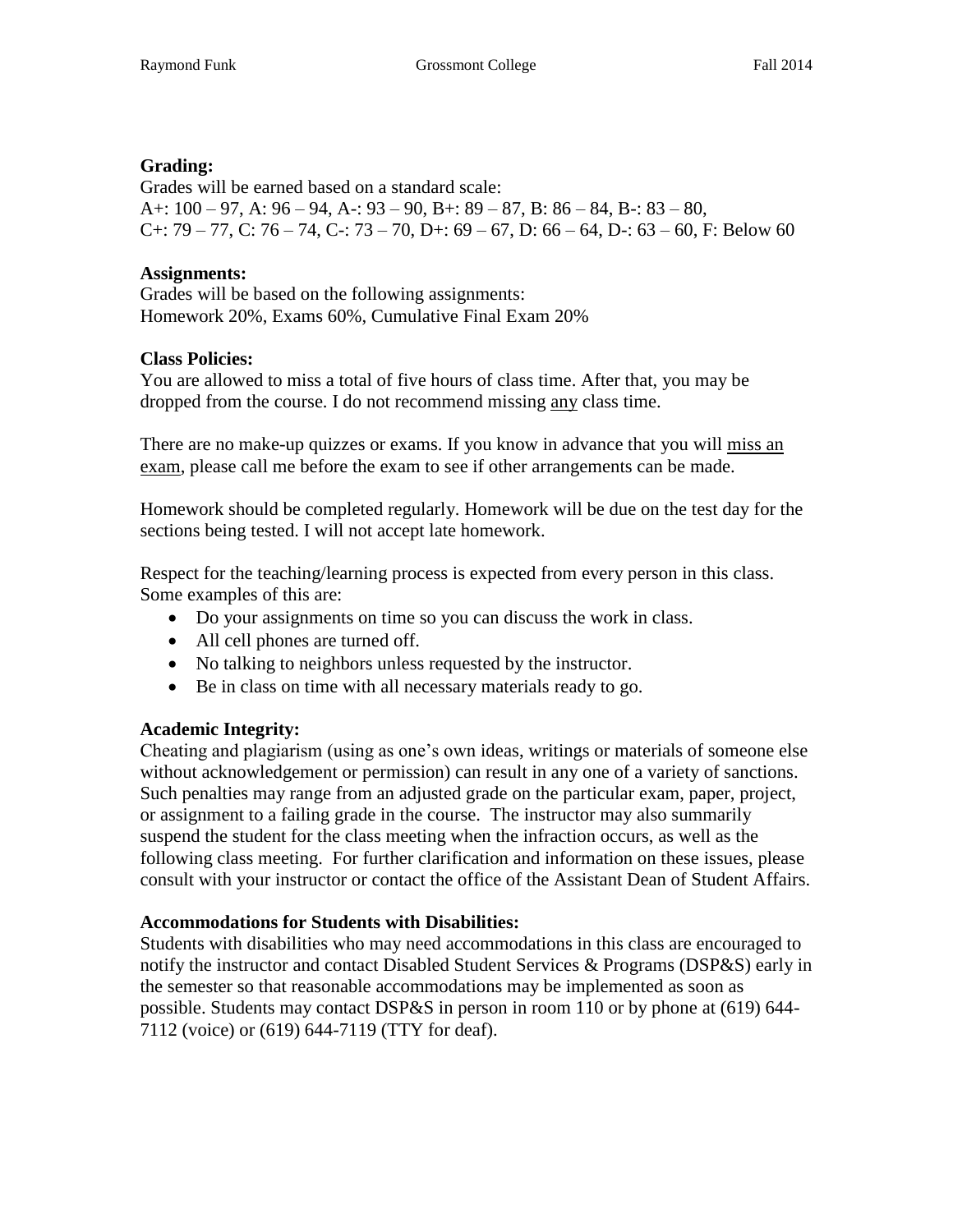#### **Grading:**

Grades will be earned based on a standard scale: A+:  $100 - 97$ , A:  $96 - 94$ , A -:  $93 - 90$ , B +:  $89 - 87$ , B:  $86 - 84$ , B -:  $83 - 80$ , C+: 79 – 77, C: 76 – 74, C-: 73 – 70, D+: 69 – 67, D: 66 – 64, D-: 63 – 60, F: Below 60

#### **Assignments:**

Grades will be based on the following assignments: Homework 20%, Exams 60%, Cumulative Final Exam 20%

#### **Class Policies:**

You are allowed to miss a total of five hours of class time. After that, you may be dropped from the course. I do not recommend missing any class time.

There are no make-up quizzes or exams. If you know in advance that you will miss an exam, please call me before the exam to see if other arrangements can be made.

Homework should be completed regularly. Homework will be due on the test day for the sections being tested. I will not accept late homework.

Respect for the teaching/learning process is expected from every person in this class. Some examples of this are:

- Do your assignments on time so you can discuss the work in class.
- All cell phones are turned off.
- No talking to neighbors unless requested by the instructor.
- Be in class on time with all necessary materials ready to go.

#### **Academic Integrity:**

Cheating and plagiarism (using as one's own ideas, writings or materials of someone else without acknowledgement or permission) can result in any one of a variety of sanctions. Such penalties may range from an adjusted grade on the particular exam, paper, project, or assignment to a failing grade in the course. The instructor may also summarily suspend the student for the class meeting when the infraction occurs, as well as the following class meeting. For further clarification and information on these issues, please consult with your instructor or contact the office of the Assistant Dean of Student Affairs.

#### **Accommodations for Students with Disabilities:**

Students with disabilities who may need accommodations in this class are encouraged to notify the instructor and contact Disabled Student Services & Programs (DSP&S) early in the semester so that reasonable accommodations may be implemented as soon as possible. Students may contact DSP&S in person in room 110 or by phone at (619) 644- 7112 (voice) or (619) 644-7119 (TTY for deaf).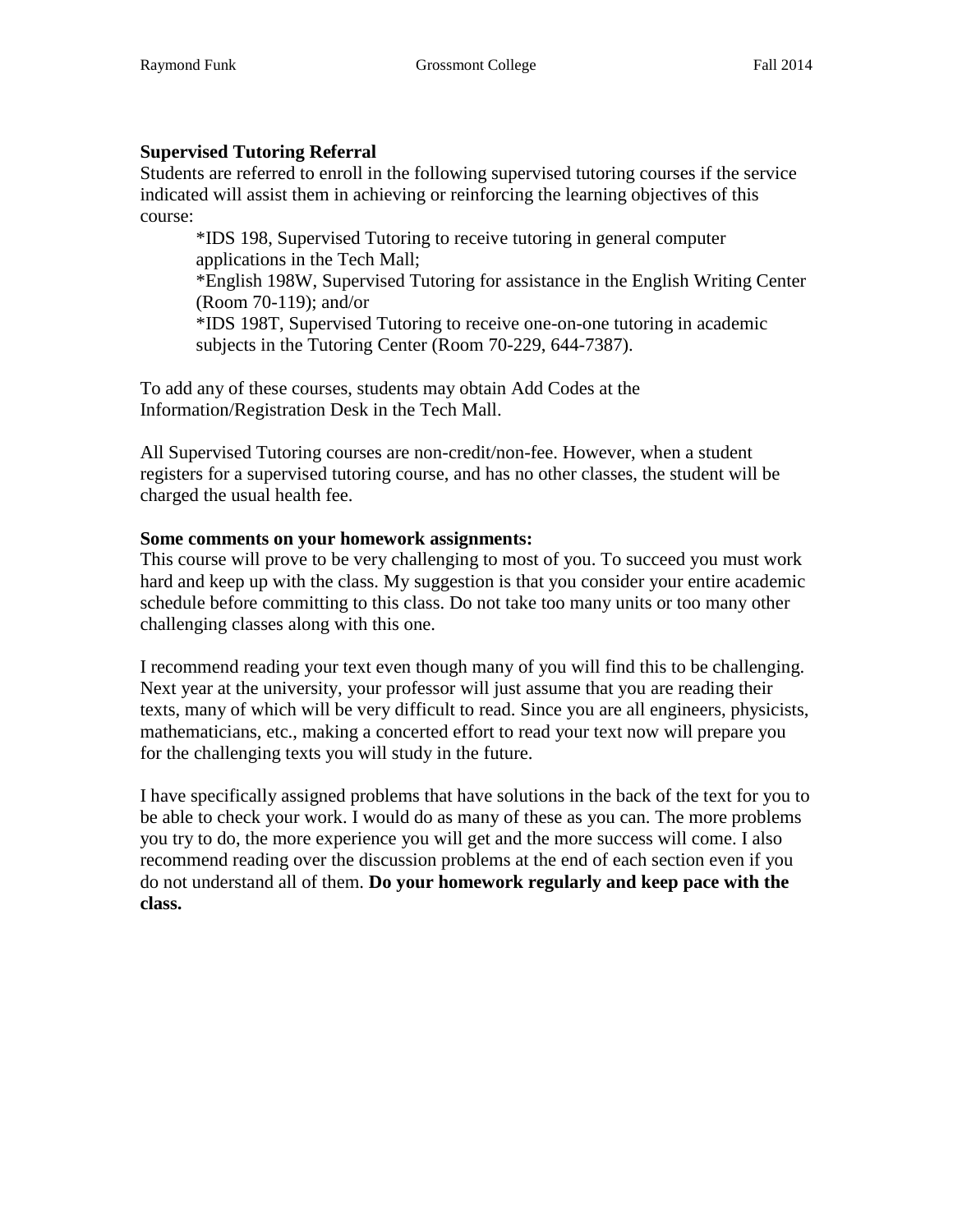#### **Supervised Tutoring Referral**

Students are referred to enroll in the following supervised tutoring courses if the service indicated will assist them in achieving or reinforcing the learning objectives of this course:

\*IDS 198, Supervised Tutoring to receive tutoring in general computer applications in the Tech Mall;

\*English 198W, Supervised Tutoring for assistance in the English Writing Center (Room 70-119); and/or

\*IDS 198T, Supervised Tutoring to receive one-on-one tutoring in academic subjects in the Tutoring Center (Room 70-229, 644-7387).

To add any of these courses, students may obtain Add Codes at the Information/Registration Desk in the Tech Mall.

All Supervised Tutoring courses are non-credit/non-fee. However, when a student registers for a supervised tutoring course, and has no other classes, the student will be charged the usual health fee.

#### **Some comments on your homework assignments:**

This course will prove to be very challenging to most of you. To succeed you must work hard and keep up with the class. My suggestion is that you consider your entire academic schedule before committing to this class. Do not take too many units or too many other challenging classes along with this one.

I recommend reading your text even though many of you will find this to be challenging. Next year at the university, your professor will just assume that you are reading their texts, many of which will be very difficult to read. Since you are all engineers, physicists, mathematicians, etc., making a concerted effort to read your text now will prepare you for the challenging texts you will study in the future.

I have specifically assigned problems that have solutions in the back of the text for you to be able to check your work. I would do as many of these as you can. The more problems you try to do, the more experience you will get and the more success will come. I also recommend reading over the discussion problems at the end of each section even if you do not understand all of them. **Do your homework regularly and keep pace with the class.**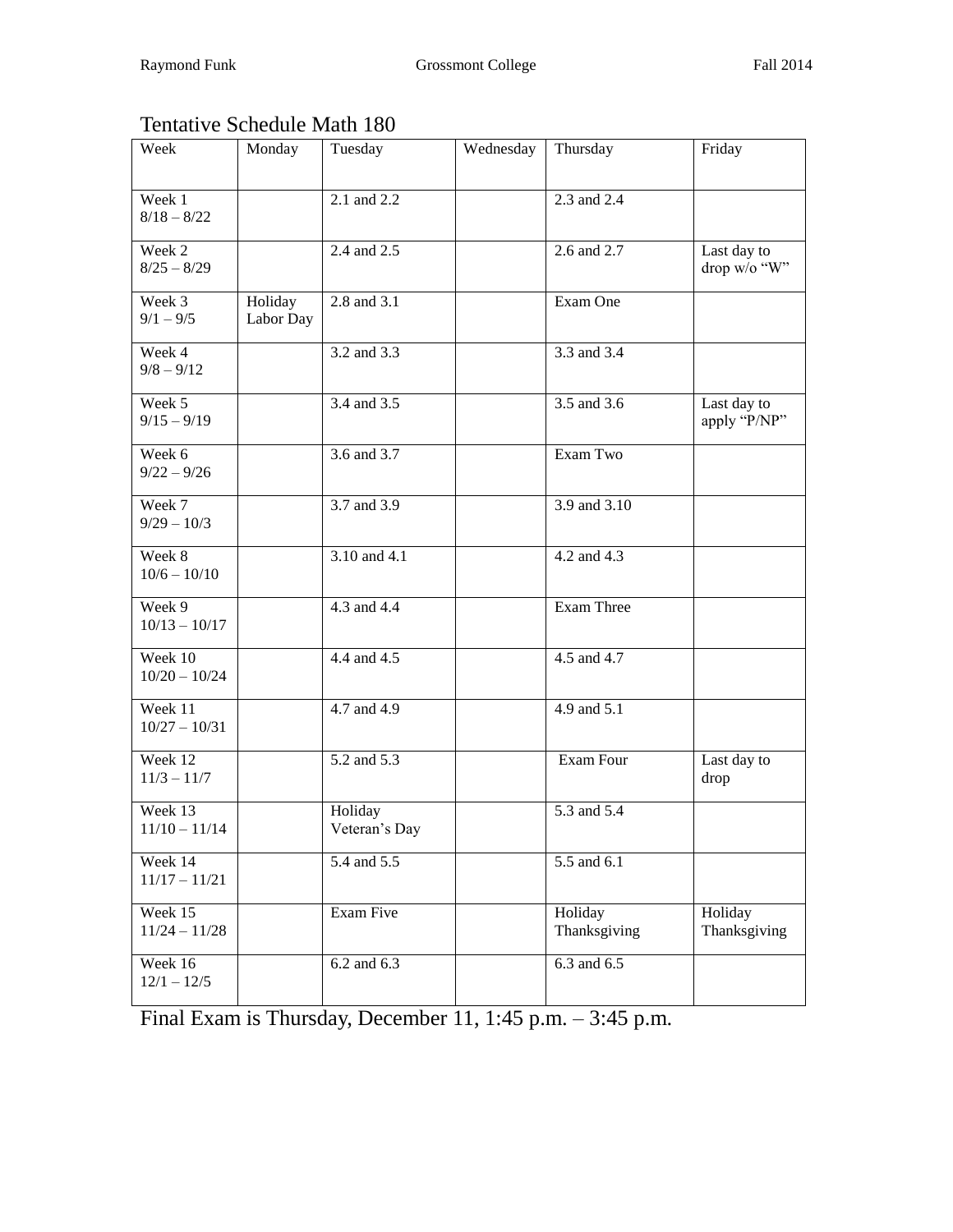## Tentative Schedule Math 180

| Week                       | Monday               | Tuesday                  | Wednesday | Thursday                | Friday                      |
|----------------------------|----------------------|--------------------------|-----------|-------------------------|-----------------------------|
| Week 1<br>$8/18 - 8/22$    |                      | 2.1 and 2.2              |           | 2.3 and 2.4             |                             |
| Week 2<br>$8/25 - 8/29$    |                      | 2.4 and 2.5              |           | 2.6 and 2.7             | Last day to<br>drop w/o "W" |
| Week 3<br>$9/1 - 9/5$      | Holiday<br>Labor Day | 2.8 and 3.1              |           | Exam One                |                             |
| Week 4<br>$9/8 - 9/12$     |                      | 3.2 and 3.3              |           | 3.3 and 3.4             |                             |
| Week 5<br>$9/15 - 9/19$    |                      | 3.4 and 3.5              |           | 3.5 and 3.6             | Last day to<br>apply "P/NP" |
| Week 6<br>$9/22 - 9/26$    |                      | 3.6 and 3.7              |           | Exam Two                |                             |
| Week 7<br>$9/29 - 10/3$    |                      | 3.7 and 3.9              |           | 3.9 and 3.10            |                             |
| Week 8<br>$10/6 - 10/10$   |                      | $3.10$ and 4.1           |           | 4.2 and 4.3             |                             |
| Week 9<br>$10/13 - 10/17$  |                      | 4.3 and 4.4              |           | <b>Exam Three</b>       |                             |
| Week 10<br>$10/20 - 10/24$ |                      | 4.4 and 4.5              |           | $4.5$ and $4.7$         |                             |
| Week 11<br>$10/27 - 10/31$ |                      | 4.7 and 4.9              |           | 4.9 and 5.1             |                             |
| Week 12<br>$11/3 - 11/7$   |                      | $5.2$ and $5.3$          |           | Exam Four               | Last day to<br>drop         |
| Week 13<br>$11/10 - 11/14$ |                      | Holiday<br>Veteran's Day |           | 5.3 and 5.4             |                             |
| Week 14<br>$11/17 - 11/21$ |                      | 5.4 and 5.5              |           | 5.5 and 6.1             |                             |
| Week 15<br>$11/24 - 11/28$ |                      | Exam Five                |           | Holiday<br>Thanksgiving | Holiday<br>Thanksgiving     |
| Week 16<br>$12/1 - 12/5$   |                      | 6.2 and 6.3              |           | $6.3$ and $6.5$         |                             |

Final Exam is Thursday, December 11, 1:45 p.m. – 3:45 p.m.